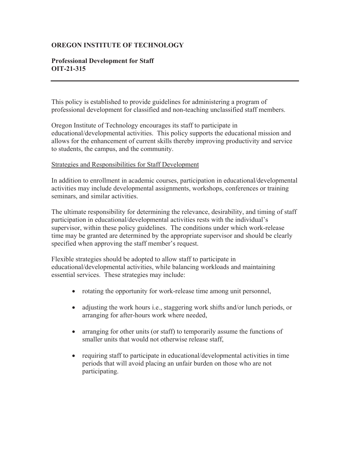#### **OREGON INSTITUTE OF TECHNOLOGY**

## **Professional Development for Staff OIT-21-315**

This policy is established to provide guidelines for administering a program of professional development for classified and non-teaching unclassified staff members.

Oregon Institute of Technology encourages its staff to participate in educational/developmental activities. This policy supports the educational mission and allows for the enhancement of current skills thereby improving productivity and service to students, the campus, and the community.

#### Strategies and Responsibilities for Staff Development

In addition to enrollment in academic courses, participation in educational/developmental activities may include developmental assignments, workshops, conferences or training seminars, and similar activities.

The ultimate responsibility for determining the relevance, desirability, and timing of staff participation in educational/developmental activities rests with the individual's supervisor, within these policy guidelines. The conditions under which work-release time may be granted are determined by the appropriate supervisor and should be clearly specified when approving the staff member's request.

Flexible strategies should be adopted to allow staff to participate in educational/developmental activities, while balancing workloads and maintaining essential services. These strategies may include:

- rotating the opportunity for work-release time among unit personnel,
- adjusting the work hours i.e., staggering work shifts and/or lunch periods, or arranging for after-hours work where needed,
- arranging for other units (or staff) to temporarily assume the functions of smaller units that would not otherwise release staff,
- $\bullet$  requiring staff to participate in educational/developmental activities in time periods that will avoid placing an unfair burden on those who are not participating.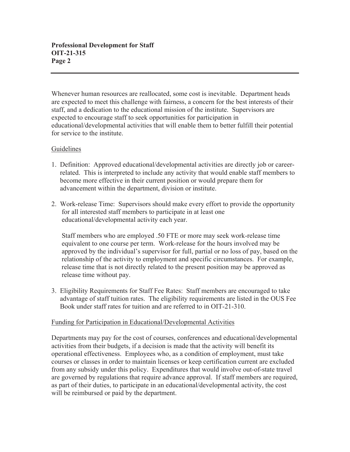Whenever human resources are reallocated, some cost is inevitable. Department heads are expected to meet this challenge with fairness, a concern for the best interests of their staff, and a dedication to the educational mission of the institute. Supervisors are expected to encourage staff to seek opportunities for participation in educational/developmental activities that will enable them to better fulfill their potential for service to the institute.

## Guidelines

- 1. Definition: Approved educational/developmental activities are directly job or career related. This is interpreted to include any activity that would enable staff members to become more effective in their current position or would prepare them for advancement within the department, division or institute.
- 2. Work-release Time: Supervisors should make every effort to provide the opportunity for all interested staff members to participate in at least one educational/developmental activity each year.

 Staff members who are employed .50 FTE or more may seek work-release time equivalent to one course per term. Work-release for the hours involved may be approved by the individual's supervisor for full, partial or no loss of pay, based on the relationship of the activity to employment and specific circumstances. For example, release time that is not directly related to the present position may be approved as release time without pay.

3. Eligibility Requirements for Staff Fee Rates: Staff members are encouraged to take advantage of staff tuition rates. The eligibility requirements are listed in the OUS Fee Book under staff rates for tuition and are referred to in OIT-21-310.

#### Funding for Participation in Educational/Developmental Activities

Departments may pay for the cost of courses, conferences and educational/developmental activities from their budgets, if a decision is made that the activity will benefit its operational effectiveness. Employees who, as a condition of employment, must take courses or classes in order to maintain licenses or keep certification current are excluded from any subsidy under this policy. Expenditures that would involve out-of-state travel are governed by regulations that require advance approval. If staff members are required, as part of their duties, to participate in an educational/developmental activity, the cost will be reimbursed or paid by the department.